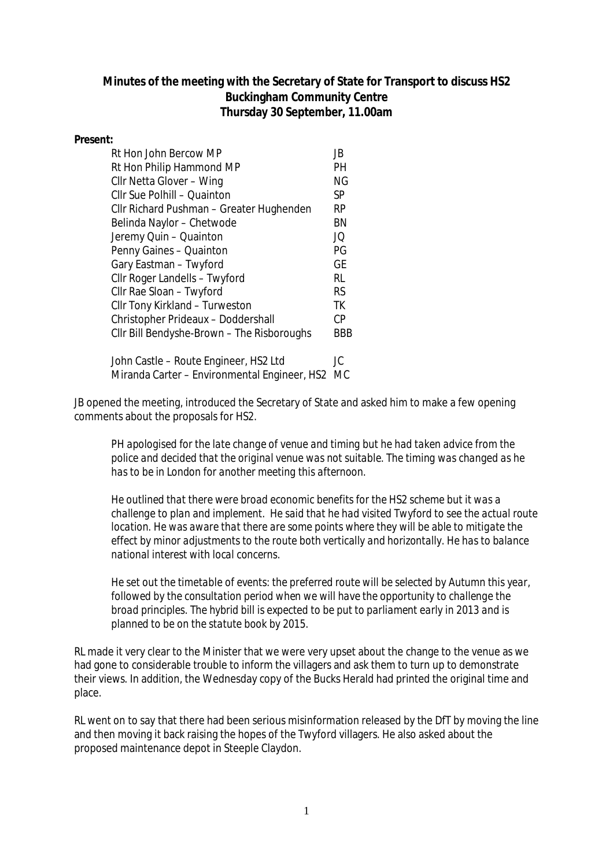## **Minutes of the meeting with the Secretary of State for Transport to discuss HS2 Buckingham Community Centre Thursday 30 September, 11.00am**

## **Present:**

| Rt Hon John Bercow MP                      | JB        |
|--------------------------------------------|-----------|
| Rt Hon Philip Hammond MP                   | PН        |
| Cllr Netta Glover - Wing                   | ΝG        |
| Cllr Sue Polhill - Quainton                | SP        |
| Cllr Richard Pushman - Greater Hughenden   | RP        |
| Belinda Naylor - Chetwode                  | ΒN        |
| Jeremy Quin - Quainton                     | JQ        |
| Penny Gaines - Quainton                    | PG        |
| Gary Eastman - Twyford                     | <b>GE</b> |
| Cllr Roger Landells - Twyford              | RL        |
| Cllr Rae Sloan - Twyford                   | RS.       |
| Cllr Tony Kirkland - Turweston             | ТK        |
| Christopher Prideaux - Doddershall         | СP        |
| Cllr Bill Bendyshe-Brown - The Risboroughs | BBB       |
| John Castle – Doute Engineer, US2 Ltd.     | ١r        |

John Castle – Route Engineer, HS2 Ltd Miranda Carter – Environmental Engineer, HS2 MC

JB opened the meeting, introduced the Secretary of State and asked him to make a few opening comments about the proposals for HS2.

*PH apologised for the late change of venue and timing but he had taken advice from the police and decided that the original venue was not suitable. The timing was changed as he has to be in London for another meeting this afternoon.*

*He outlined that there were broad economic benefits for the HS2 scheme but it was a challenge to plan and implement. He said that he had visited Twyford to see the actual route location. He was aware that there are some points where they will be able to mitigate the effect by minor adjustments to the route both vertically and horizontally. He has to balance national interest with local concerns.*

*He set out the timetable of events: the preferred route will be selected by Autumn this year, followed by the consultation period when we will have the opportunity to challenge the broad principles. The hybrid bill is expected to be put to parliament early in 2013 and is planned to be on the statute book by 2015.*

RL made it very clear to the Minister that we were very upset about the change to the venue as we had gone to considerable trouble to inform the villagers and ask them to turn up to demonstrate their views. In addition, the Wednesday copy of the Bucks Herald had printed the original time and place.

RL went on to say that there had been serious misinformation released by the DfT by moving the line and then moving it back raising the hopes of the Twyford villagers. He also asked about the proposed maintenance depot in Steeple Claydon.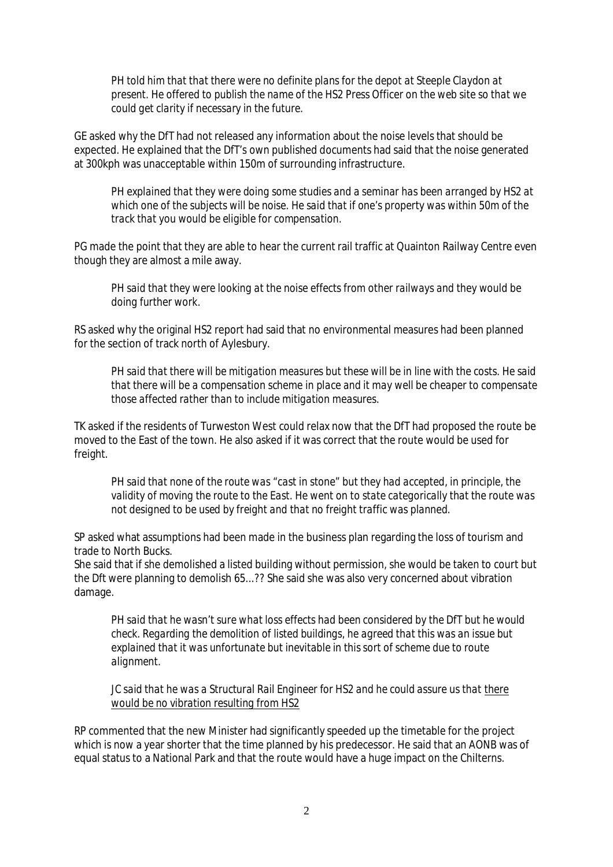*PH told him that that there were no definite plans for the depot at Steeple Claydon at present. He offered to publish the name of the HS2 Press Officer on the web site so that we could get clarity if necessary in the future.*

GE asked why the DfT had not released any information about the noise levels that should be expected. He explained that the DfT's own published documents had said that the noise generated at 300kph was unacceptable within 150m of surrounding infrastructure.

*PH explained that they were doing some studies and a seminar has been arranged by HS2 at which one of the subjects will be noise. He said that if one's property was within 50m of the track that you would be eligible for compensation.*

PG made the point that they are able to hear the current rail traffic at Quainton Railway Centre even though they are almost a mile away.

*PH said that they were looking at the noise effects from other railways and they would be doing further work.*

RS asked why the original HS2 report had said that no environmental measures had been planned for the section of track north of Aylesbury.

*PH said that there will be mitigation measures but these will be in line with the costs. He said that there will be a compensation scheme in place and it may well be cheaper to compensate those affected rather than to include mitigation measures.*

TK asked if the residents of Turweston West could relax now that the DfT had proposed the route be moved to the East of the town. He also asked if it was correct that the route would be used for freight.

*PH said that none of the route was "cast in stone" but they had accepted, in principle, the validity of moving the route to the East. He went on to state categorically that the route was not designed to be used by freight and that no freight traffic was planned.*

SP asked what assumptions had been made in the business plan regarding the loss of tourism and trade to North Bucks.

She said that if she demolished a listed building without permission, she would be taken to court but the Dft were planning to demolish 65...?? She said she was also very concerned about vibration damage.

*PH said that he wasn't sure what loss effects had been considered by the DfT but he would check. Regarding the demolition of listed buildings, he agreed that this was an issue but explained that it was unfortunate but inevitable in this sort of scheme due to route alignment.*

*JC said that he was a Structural Rail Engineer for HS2 and he could assure us that there would be no vibration resulting from HS2*

RP commented that the new Minister had significantly speeded up the timetable for the project which is now a year shorter that the time planned by his predecessor. He said that an AONB was of equal status to a National Park and that the route would have a huge impact on the Chilterns.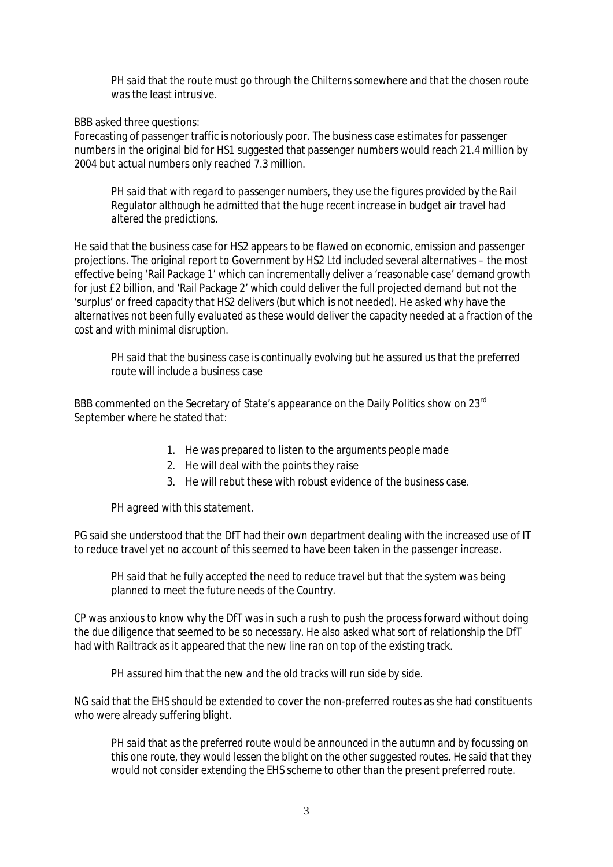*PH said that the route must go through the Chilterns somewhere and that the chosen route was the least intrusive.*

BBB asked three questions:

Forecasting of passenger traffic is notoriously poor. The business case estimates for passenger numbers in the original bid for HS1 suggested that passenger numbers would reach 21.4 million by 2004 but actual numbers only reached 7.3 million.

*PH said that with regard to passenger numbers, they use the figures provided by the Rail Regulator although he admitted that the huge recent increase in budget air travel had altered the predictions.* 

He said that the business case for HS2 appears to be flawed on economic, emission and passenger projections. The original report to Government by HS2 Ltd included several alternatives – the most effective being 'Rail Package 1' which can incrementally deliver a 'reasonable case' demand growth for just £2 billion, and 'Rail Package 2' which could deliver the full projected demand but not the 'surplus' or freed capacity that HS2 delivers (but which is not needed). He asked why have the alternatives not been fully evaluated as these would deliver the capacity needed at a fraction of the cost and with minimal disruption.

*PH said that the business case is continually evolving but he assured us that the preferred route will include a business case*

BBB commented on the Secretary of State's appearance on the Daily Politics show on 23rd September where he stated that:

- 1. He was prepared to listen to the arguments people made
- 2. He will deal with the points they raise
- 3. He will rebut these with robust evidence of the business case.

## *PH agreed with this statement.*

PG said she understood that the DfT had their own department dealing with the increased use of IT to reduce travel yet no account of this seemed to have been taken in the passenger increase.

*PH said that he fully accepted the need to reduce travel but that the system was being planned to meet the future needs of the Country.* 

CP was anxious to know why the DfT was in such a rush to push the process forward without doing the due diligence that seemed to be so necessary. He also asked what sort of relationship the DfT had with Railtrack as it appeared that the new line ran on top of the existing track.

*PH assured him that the new and the old tracks will run side by side.*

NG said that the EHS should be extended to cover the non-preferred routes as she had constituents who were already suffering blight.

*PH said that as the preferred route would be announced in the autumn and by focussing on this one route, they would lessen the blight on the other suggested routes. He said that they would not consider extending the EHS scheme to other than the present preferred route.*